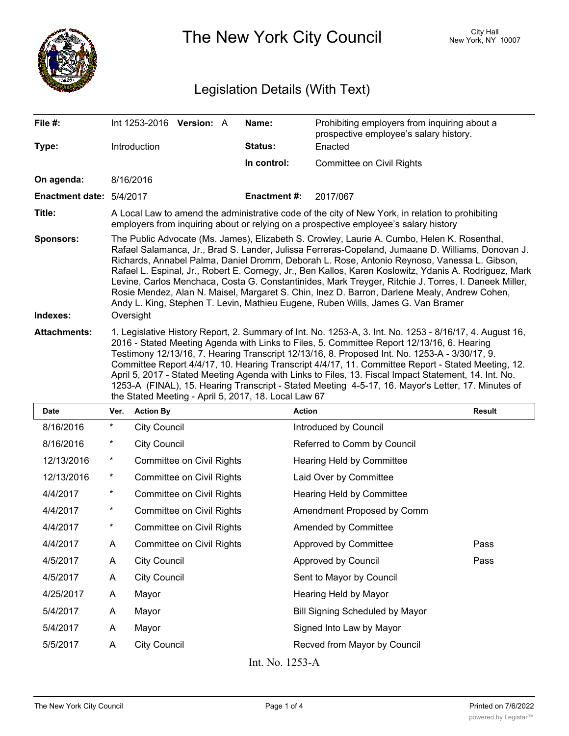

The New York City Council New York, NY 10007

## Legislation Details (With Text)

| File $#$ :               | Int 1253-2016 Version: A                                                                                                                                                                                                                                                                                                                                                                                                                                                                                                                                                                                                                                                                              |  |  | Name:        | Prohibiting employers from inquiring about a<br>prospective employee's salary history. |  |
|--------------------------|-------------------------------------------------------------------------------------------------------------------------------------------------------------------------------------------------------------------------------------------------------------------------------------------------------------------------------------------------------------------------------------------------------------------------------------------------------------------------------------------------------------------------------------------------------------------------------------------------------------------------------------------------------------------------------------------------------|--|--|--------------|----------------------------------------------------------------------------------------|--|
| Type:                    | Introduction                                                                                                                                                                                                                                                                                                                                                                                                                                                                                                                                                                                                                                                                                          |  |  | Status:      | Enacted                                                                                |  |
|                          |                                                                                                                                                                                                                                                                                                                                                                                                                                                                                                                                                                                                                                                                                                       |  |  | In control:  | Committee on Civil Rights                                                              |  |
| On agenda:               | 8/16/2016                                                                                                                                                                                                                                                                                                                                                                                                                                                                                                                                                                                                                                                                                             |  |  |              |                                                                                        |  |
| Enactment date: 5/4/2017 |                                                                                                                                                                                                                                                                                                                                                                                                                                                                                                                                                                                                                                                                                                       |  |  | Enactment #: | 2017/067                                                                               |  |
| Title:                   | A Local Law to amend the administrative code of the city of New York, in relation to prohibiting<br>employers from inquiring about or relying on a prospective employee's salary history                                                                                                                                                                                                                                                                                                                                                                                                                                                                                                              |  |  |              |                                                                                        |  |
| <b>Sponsors:</b>         | The Public Advocate (Ms. James), Elizabeth S. Crowley, Laurie A. Cumbo, Helen K. Rosenthal,<br>Rafael Salamanca, Jr., Brad S. Lander, Julissa Ferreras-Copeland, Jumaane D. Williams, Donovan J.<br>Richards, Annabel Palma, Daniel Dromm, Deborah L. Rose, Antonio Reynoso, Vanessa L. Gibson,<br>Rafael L. Espinal, Jr., Robert E. Cornegy, Jr., Ben Kallos, Karen Koslowitz, Ydanis A. Rodriguez, Mark<br>Levine, Carlos Menchaca, Costa G. Constantinides, Mark Treyger, Ritchie J. Torres, I. Daneek Miller,<br>Rosie Mendez, Alan N. Maisel, Margaret S. Chin, Inez D. Barron, Darlene Mealy, Andrew Cohen,<br>Andy L. King, Stephen T. Levin, Mathieu Eugene, Ruben Wills, James G. Van Bramer |  |  |              |                                                                                        |  |
| Indexes:                 | Oversight                                                                                                                                                                                                                                                                                                                                                                                                                                                                                                                                                                                                                                                                                             |  |  |              |                                                                                        |  |
| <b>Attachments:</b>      | 1. Legislative History Report, 2. Summary of Int. No. 1253-A, 3. Int. No. 1253 - 8/16/17, 4. August 16,<br>2016 - Stated Meeting Agenda with Links to Files, 5. Committee Report 12/13/16, 6. Hearing<br>Testimony 12/13/16, 7. Hearing Transcript 12/13/16, 8. Proposed Int. No. 1253-A - 3/30/17, 9.<br>Committee Report 4/4/17, 10. Hearing Transcript 4/4/17, 11. Committee Report - Stated Meeting, 12.<br>April 5, 2017 - Stated Meeting Agenda with Links to Files, 13. Fiscal Impact Statement, 14. Int. No.<br>1253-A (FINAL), 15. Hearing Transcript - Stated Meeting 4-5-17, 16. Mayor's Letter, 17. Minutes of<br>the Stated Meeting - April 5, 2017, 18. Local Law 67                    |  |  |              |                                                                                        |  |

| <b>Date</b> | Ver.     | <b>Action By</b>                 | <b>Action</b>                          | <b>Result</b> |
|-------------|----------|----------------------------------|----------------------------------------|---------------|
| 8/16/2016   | $^\star$ | <b>City Council</b>              | Introduced by Council                  |               |
| 8/16/2016   | $^\star$ | <b>City Council</b>              | Referred to Comm by Council            |               |
| 12/13/2016  | $^\star$ | <b>Committee on Civil Rights</b> | Hearing Held by Committee              |               |
| 12/13/2016  | $^\star$ | <b>Committee on Civil Rights</b> | Laid Over by Committee                 |               |
| 4/4/2017    | $^\star$ | <b>Committee on Civil Rights</b> | Hearing Held by Committee              |               |
| 4/4/2017    | $^\star$ | <b>Committee on Civil Rights</b> | Amendment Proposed by Comm             |               |
| 4/4/2017    | $^\star$ | <b>Committee on Civil Rights</b> | Amended by Committee                   |               |
| 4/4/2017    | A        | Committee on Civil Rights        | Approved by Committee                  | Pass          |
| 4/5/2017    | A        | <b>City Council</b>              | Approved by Council                    | Pass          |
| 4/5/2017    | A        | <b>City Council</b>              | Sent to Mayor by Council               |               |
| 4/25/2017   | A        | Mayor                            | Hearing Held by Mayor                  |               |
| 5/4/2017    | A        | Mayor                            | <b>Bill Signing Scheduled by Mayor</b> |               |
| 5/4/2017    | A        | Mayor                            | Signed Into Law by Mayor               |               |
| 5/5/2017    | A        | <b>City Council</b>              | Recved from Mayor by Council           |               |
|             |          |                                  |                                        |               |

Int. No. 1253-A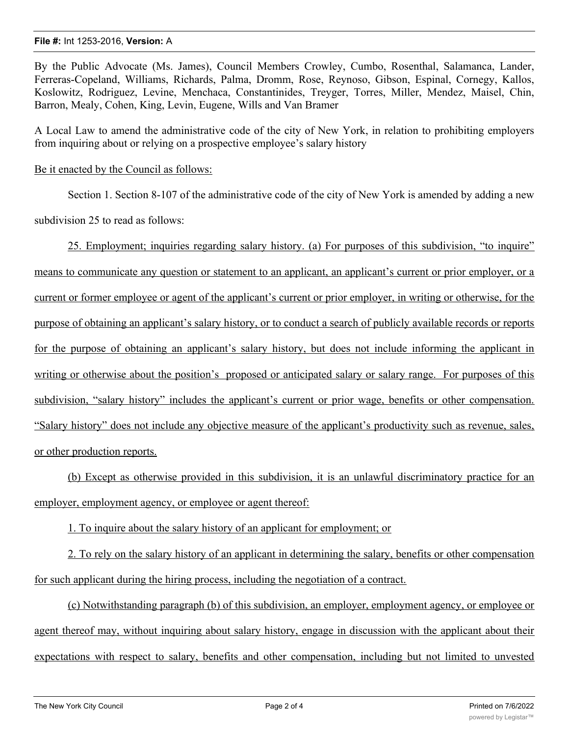## **File #:** Int 1253-2016, **Version:** A

By the Public Advocate (Ms. James), Council Members Crowley, Cumbo, Rosenthal, Salamanca, Lander, Ferreras-Copeland, Williams, Richards, Palma, Dromm, Rose, Reynoso, Gibson, Espinal, Cornegy, Kallos, Koslowitz, Rodriguez, Levine, Menchaca, Constantinides, Treyger, Torres, Miller, Mendez, Maisel, Chin, Barron, Mealy, Cohen, King, Levin, Eugene, Wills and Van Bramer

A Local Law to amend the administrative code of the city of New York, in relation to prohibiting employers from inquiring about or relying on a prospective employee's salary history

Be it enacted by the Council as follows:

Section 1. Section 8-107 of the administrative code of the city of New York is amended by adding a new subdivision 25 to read as follows:

25. Employment; inquiries regarding salary history. (a) For purposes of this subdivision, "to inquire" means to communicate any question or statement to an applicant, an applicant's current or prior employer, or a current or former employee or agent of the applicant's current or prior employer, in writing or otherwise, for the purpose of obtaining an applicant's salary history, or to conduct a search of publicly available records or reports for the purpose of obtaining an applicant's salary history, but does not include informing the applicant in writing or otherwise about the position's proposed or anticipated salary or salary range. For purposes of this subdivision, "salary history" includes the applicant's current or prior wage, benefits or other compensation. "Salary history" does not include any objective measure of the applicant's productivity such as revenue, sales, or other production reports.

(b) Except as otherwise provided in this subdivision, it is an unlawful discriminatory practice for an employer, employment agency, or employee or agent thereof:

1. To inquire about the salary history of an applicant for employment; or

2. To rely on the salary history of an applicant in determining the salary, benefits or other compensation for such applicant during the hiring process, including the negotiation of a contract.

(c) Notwithstanding paragraph (b) of this subdivision, an employer, employment agency, or employee or agent thereof may, without inquiring about salary history, engage in discussion with the applicant about their expectations with respect to salary, benefits and other compensation, including but not limited to unvested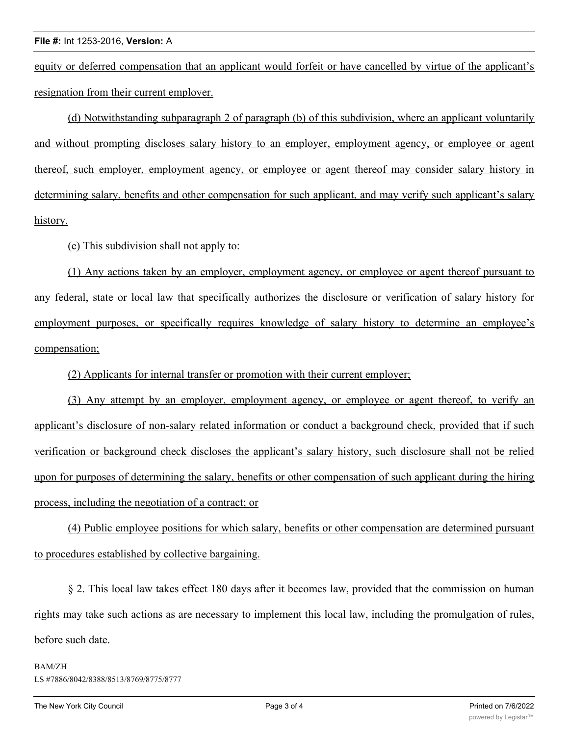equity or deferred compensation that an applicant would forfeit or have cancelled by virtue of the applicant's resignation from their current employer.

(d) Notwithstanding subparagraph 2 of paragraph (b) of this subdivision, where an applicant voluntarily and without prompting discloses salary history to an employer, employment agency, or employee or agent thereof, such employer, employment agency, or employee or agent thereof may consider salary history in determining salary, benefits and other compensation for such applicant, and may verify such applicant's salary history.

(e) This subdivision shall not apply to:

(1) Any actions taken by an employer, employment agency, or employee or agent thereof pursuant to any federal, state or local law that specifically authorizes the disclosure or verification of salary history for employment purposes, or specifically requires knowledge of salary history to determine an employee's compensation;

(2) Applicants for internal transfer or promotion with their current employer;

(3) Any attempt by an employer, employment agency, or employee or agent thereof, to verify an applicant's disclosure of non-salary related information or conduct a background check, provided that if such verification or background check discloses the applicant's salary history, such disclosure shall not be relied upon for purposes of determining the salary, benefits or other compensation of such applicant during the hiring process, including the negotiation of a contract; or

(4) Public employee positions for which salary, benefits or other compensation are determined pursuant to procedures established by collective bargaining.

§ 2. This local law takes effect 180 days after it becomes law, provided that the commission on human rights may take such actions as are necessary to implement this local law, including the promulgation of rules, before such date.